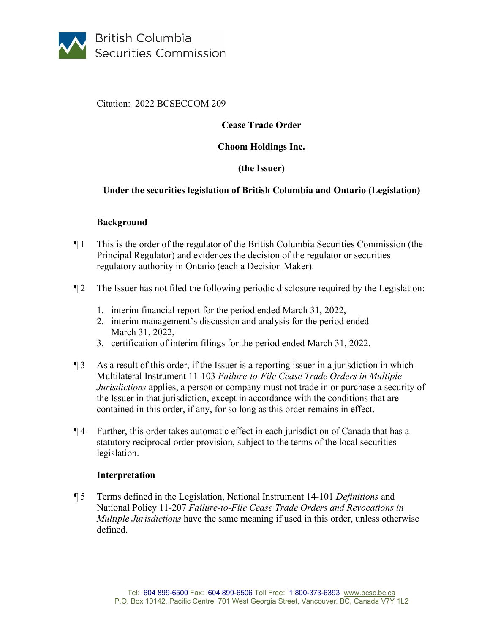

Citation: 2022 BCSECCOM 209

# **Cease Trade Order**

### **Choom Holdings Inc.**

## **(the Issuer)**

### **Under the securities legislation of British Columbia and Ontario (Legislation)**

### **Background**

- ¶ 1 This is the order of the regulator of the British Columbia Securities Commission (the Principal Regulator) and evidences the decision of the regulator or securities regulatory authority in Ontario (each a Decision Maker).
- ¶ 2 The Issuer has not filed the following periodic disclosure required by the Legislation:
	- 1. interim financial report for the period ended March 31, 2022,
	- 2. interim management's discussion and analysis for the period ended March 31, 2022,
	- 3. certification of interim filings for the period ended March 31, 2022.
- ¶ 3 As a result of this order, if the Issuer is a reporting issuer in a jurisdiction in which Multilateral Instrument 11-103 *Failure-to-File Cease Trade Orders in Multiple Jurisdictions* applies, a person or company must not trade in or purchase a security of the Issuer in that jurisdiction, except in accordance with the conditions that are contained in this order, if any, for so long as this order remains in effect.
- ¶ 4 Further, this order takes automatic effect in each jurisdiction of Canada that has a statutory reciprocal order provision, subject to the terms of the local securities legislation.

### **Interpretation**

¶ 5 Terms defined in the Legislation, National Instrument 14-101 *Definitions* and National Policy 11-207 *Failure-to-File Cease Trade Orders and Revocations in Multiple Jurisdictions* have the same meaning if used in this order, unless otherwise defined.